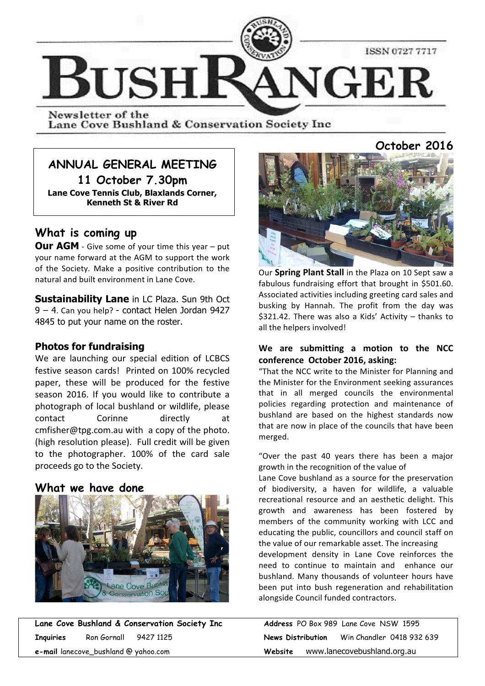

Newsletter of the Lane Cove Bushland & Conservation Society Inc

# **ANNUAL GENERAL MEETING**

**11 October 7.30pm Lane Cove Tennis Club, Blaxlands Corner, Kenneth St & River Rd**

# **What is coming up**

**Our AGM** - Give some of your time this year – put your name forward at the AGM to support the work of the Society. Make a positive contribution to the natural and built environment in Lane Cove.

**Sustainability Lane** in LC Plaza. Sun 9th Oct  $9 - 4$ . Can you help? - contact Helen Jordan 9427 4845 to put your name on the roster.

### **Photos for fundraising**

We are launching our special edition of LCBCS festive season cards! Printed on 100% recycled paper, these will be produced for the festive season 2016. If you would like to contribute a photograph of local bushland or wildlife, please contact Corinne directly at cmfisher@tpg.com.au with a copy of the photo. (high resolution please). Full credit will be given to the photographer. 100% of the card sale proceeds go to the Society.

## **What we have done**



**Lane Cove Bushland & Conservation Society Inc Inquiries** Ron Gornall 9427 1125 **News Distribution** Win Chandler 0418 932 639 **e-mail** lanecove\_bushland @ yahoo.com

# **October 2016**



Our **Spring Plant Stall** in the Plaza on 10 Sept saw a fabulous fundraising effort that brought in \$501.60. Associated activities including greeting card sales and busking by Hannah. The profit from the day was  $$321.42$ . There was also a Kids' Activity – thanks to all the helpers involved!

### We are submitting a motion to the NCC conference October 2016, asking:

"That the NCC write to the Minister for Planning and the Minister for the Environment seeking assurances that in all merged councils the environmental policies regarding protection and maintenance of bushland are based on the highest standards now that are now in place of the councils that have been merged.

"Over the past 40 years there has been a major growth in the recognition of the value of

Lane Cove bushland as a source for the preservation of biodiversity, a haven for wildlife, a valuable recreational resource and an aesthetic delight. This growth and awareness has been fostered by members of the community working with LCC and educating the public, councillors and council staff on the value of our remarkable asset. The increasing

development density in Lane Cove reinforces the need to continue to maintain and enhance our bushland. Many thousands of volunteer hours have been put into bush regeneration and rehabilitation alongside Council funded contractors.

|                   |                             | Address PO Box 989 Lane Cove NSW 1595 |  |  |
|-------------------|-----------------------------|---------------------------------------|--|--|
| News Distribution |                             | Win Chandler 0418 932 639             |  |  |
| Website           | www.lanecovebushland.org.au |                                       |  |  |